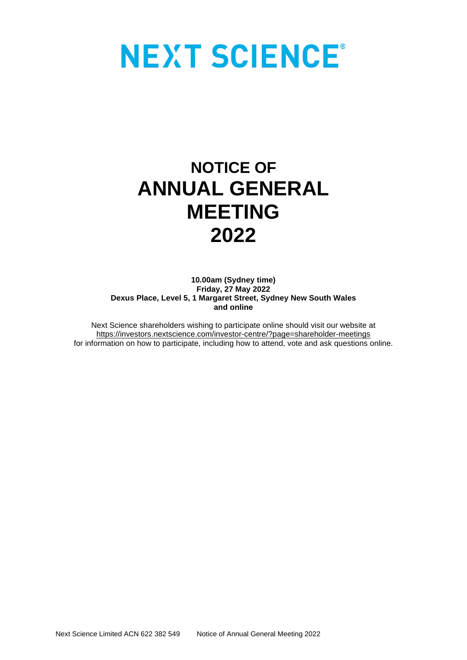# **NEXT SCIENCE®**

# **NOTICE OF ANNUAL GENERAL MEETING 2022**

**10.00am (Sydney time) Friday, 27 May 2022 Dexus Place, Level 5, 1 Margaret Street, Sydney New South Wales and online**

Next Science shareholders wishing to participate online should visit our website at [https://investors.nextscience.com/investor-centre/?page=shareholder-meetings](https://aus01.safelinks.protection.outlook.com/?url=https%3A%2F%2Finvestors.nextscience.com%2Finvestor-centre%2F%3Fpage%3Dshareholder-meetings&data=04%7C01%7Cgillian%40dolmatoffnairn.com.au%7Ca1563d9c5c454ec8631f08da1d0e1e79%7Ce83703a331104387b724f7faa1f99d6e%7C0%7C0%7C637854243743533182%7CUnknown%7CTWFpbGZsb3d8eyJWIjoiMC4wLjAwMDAiLCJQIjoiV2luMzIiLCJBTiI6Ik1haWwiLCJXVCI6Mn0%3D%7C3000&sdata=tx3UVCQhTi7MRjOcHthAc5zjcF3Ige3KBT4Y8Y3ocpo%3D&reserved=0) for information on how to participate, including how to attend, vote and ask questions online.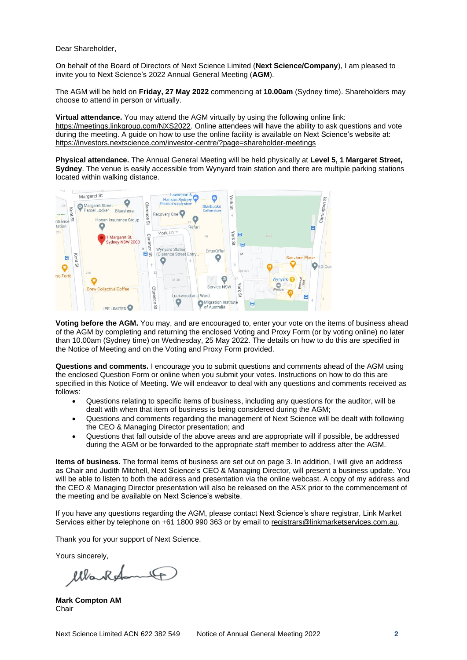Dear Shareholder,

On behalf of the Board of Directors of Next Science Limited (**Next Science/Company**), I am pleased to invite you to Next Science's 2022 Annual General Meeting (**AGM**).

The AGM will be held on **Friday, 27 May 2022** commencing at **10.00am** (Sydney time). Shareholders may choose to attend in person or virtually.

**Virtual attendance.** You may attend the AGM virtually by using the following online link: [https://meetings.linkgroup.com/NXS2022.](https://meetings.linkgroup.com/NXS2022) Online attendees will have the ability to ask questions and vote during the meeting. A guide on how to use the online facility is available on Next Science's website at: <https://investors.nextscience.com/investor-centre/?page=shareholder-meetings>

**Physical attendance.** The Annual General Meeting will be held physically at **Level 5, 1 Margaret Street, Sydney**. The venue is easily accessible from Wynyard train station and there are multiple parking stations located within walking distance.



**Voting before the AGM.** You may, and are encouraged to, enter your vote on the items of business ahead of the AGM by completing and returning the enclosed Voting and Proxy Form (or by voting online) no later than 10.00am (Sydney time) on Wednesday, 25 May 2022. The details on how to do this are specified in the Notice of Meeting and on the Voting and Proxy Form provided.

**Questions and comments.** I encourage you to submit questions and comments ahead of the AGM using the enclosed Question Form or online when you submit your votes. Instructions on how to do this are specified in this Notice of Meeting. We will endeavor to deal with any questions and comments received as follows:

- Questions relating to specific items of business, including any questions for the auditor, will be dealt with when that item of business is being considered during the AGM;
- Questions and comments regarding the management of Next Science will be dealt with following the CEO & Managing Director presentation; and
- Questions that fall outside of the above areas and are appropriate will if possible, be addressed during the AGM or be forwarded to the appropriate staff member to address after the AGM.

**Items of business.** The formal items of business are set out on page 3. In addition, I will give an address as Chair and Judith Mitchell, Next Science's CEO & Managing Director, will present a business update. You will be able to listen to both the address and presentation via the online webcast. A copy of my address and the CEO & Managing Director presentation will also be released on the ASX prior to the commencement of the meeting and be available on Next Science's website.

If you have any questions regarding the AGM, please contact Next Science's share registrar, Link Market Services either by telephone on +61 1800 990 363 or by email to [registrars@linkmarketservices.com.au.](mailto:registrars@linkmarketservices.com.au)

Thank you for your support of Next Science.

Yours sincerely,

oRod lla

**Mark Compton AM** Chair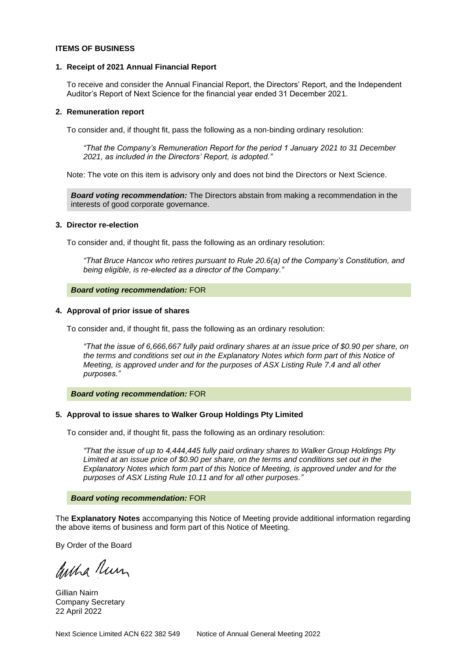# **ITEMS OF BUSINESS**

#### **1. Receipt of 2021 Annual Financial Report**

To receive and consider the Annual Financial Report, the Directors' Report, and the Independent Auditor's Report of Next Science for the financial year ended 31 December 2021.

#### **2. Remuneration report**

To consider and, if thought fit, pass the following as a non-binding ordinary resolution:

*"That the Company's Remuneration Report for the period 1 January 2021 to 31 December 2021, as included in the Directors' Report, is adopted."*

Note: The vote on this item is advisory only and does not bind the Directors or Next Science.

*Board voting recommendation:* The Directors abstain from making a recommendation in the interests of good corporate governance.

#### **3. Director re-election**

To consider and, if thought fit, pass the following as an ordinary resolution:

*"That Bruce Hancox who retires pursuant to Rule 20.6(a) of the Company's Constitution, and being eligible, is re-elected as a director of the Company."*

#### *Board voting recommendation:* FOR

#### **4. Approval of prior issue of shares**

To consider and, if thought fit, pass the following as an ordinary resolution:

*"That the issue of 6,666,667 fully paid ordinary shares at an issue price of \$0.90 per share, on the terms and conditions set out in the Explanatory Notes which form part of this Notice of Meeting, is approved under and for the purposes of ASX Listing Rule 7.4 and all other purposes."*

#### *Board voting recommendation:* FOR

# **5. Approval to issue shares to Walker Group Holdings Pty Limited**

To consider and, if thought fit, pass the following as an ordinary resolution:

*"That the issue of up to 4,444,445 fully paid ordinary shares to Walker Group Holdings Pty Limited at an issue price of \$0.90 per share, on the terms and conditions set out in the Explanatory Notes which form part of this Notice of Meeting, is approved under and for the purposes of ASX Listing Rule 10.11 and for all other purposes."*

#### *Board voting recommendation:* FOR

The **Explanatory Notes** accompanying this Notice of Meeting provide additional information regarding the above items of business and form part of this Notice of Meeting.

By Order of the Board

ancha Run

Gillian Nairn Company Secretary 22 April 2022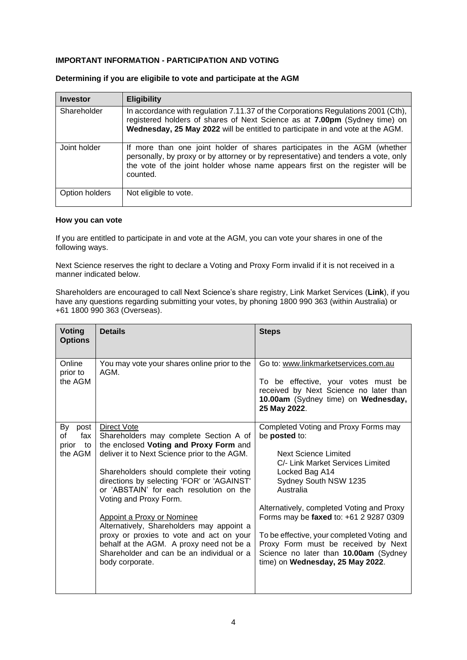# **IMPORTANT INFORMATION - PARTICIPATION AND VOTING**

| Investor       | <b>Eligibility</b>                                                                                                                                                                                                                                          |
|----------------|-------------------------------------------------------------------------------------------------------------------------------------------------------------------------------------------------------------------------------------------------------------|
| Shareholder    | In accordance with regulation 7.11.37 of the Corporations Regulations 2001 (Cth),<br>registered holders of shares of Next Science as at 7.00pm (Sydney time) on<br>Wednesday, 25 May 2022 will be entitled to participate in and vote at the AGM.           |
| Joint holder   | If more than one joint holder of shares participates in the AGM (whether<br>personally, by proxy or by attorney or by representative) and tenders a vote, only<br>the vote of the joint holder whose name appears first on the register will be<br>counted. |
| Option holders | Not eligible to vote.                                                                                                                                                                                                                                       |

# **Determining if you are eligibile to vote and participate at the AGM**

# **How you can vote**

If you are entitled to participate in and vote at the AGM, you can vote your shares in one of the following ways.

Next Science reserves the right to declare a Voting and Proxy Form invalid if it is not received in a manner indicated below.

Shareholders are encouraged to call Next Science's share registry, Link Market Services (**Link**), if you have any questions regarding submitting your votes, by phoning 1800 990 363 (within Australia) or +61 1800 990 363 (Overseas).

| <b>Voting</b><br><b>Options</b>                   | <b>Details</b>                                                                                                                                                                                                                                                                                                                                                                                                                                                                                                                                                   | <b>Steps</b>                                                                                                                                                                                                                                                                                                                                                                                                                       |
|---------------------------------------------------|------------------------------------------------------------------------------------------------------------------------------------------------------------------------------------------------------------------------------------------------------------------------------------------------------------------------------------------------------------------------------------------------------------------------------------------------------------------------------------------------------------------------------------------------------------------|------------------------------------------------------------------------------------------------------------------------------------------------------------------------------------------------------------------------------------------------------------------------------------------------------------------------------------------------------------------------------------------------------------------------------------|
| Online<br>prior to<br>the AGM                     | You may vote your shares online prior to the<br>AGM.                                                                                                                                                                                                                                                                                                                                                                                                                                                                                                             | Go to: www.linkmarketservices.com.au<br>To be effective, your votes must be<br>received by Next Science no later than<br>10.00am (Sydney time) on Wednesday,<br>25 May 2022.                                                                                                                                                                                                                                                       |
| By<br>post<br>οf<br>fax<br>to<br>prior<br>the AGM | <b>Direct Vote</b><br>Shareholders may complete Section A of<br>the enclosed Voting and Proxy Form and<br>deliver it to Next Science prior to the AGM.<br>Shareholders should complete their voting<br>directions by selecting 'FOR' or 'AGAINST'<br>or 'ABSTAIN' for each resolution on the<br>Voting and Proxy Form.<br><b>Appoint a Proxy or Nominee</b><br>Alternatively, Shareholders may appoint a<br>proxy or proxies to vote and act on your<br>behalf at the AGM. A proxy need not be a<br>Shareholder and can be an individual or a<br>body corporate. | Completed Voting and Proxy Forms may<br>be posted to:<br>Next Science Limited<br>C/- Link Market Services Limited<br>Locked Bag A14<br>Sydney South NSW 1235<br>Australia<br>Alternatively, completed Voting and Proxy<br>Forms may be faxed to: +61 2 9287 0309<br>To be effective, your completed Voting and<br>Proxy Form must be received by Next<br>Science no later than 10.00am (Sydney<br>time) on Wednesday, 25 May 2022. |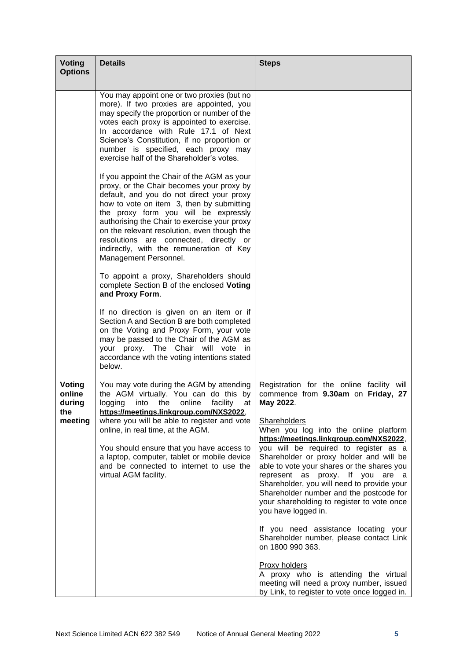| <b>Voting</b><br><b>Options</b>              | <b>Details</b>                                                                                                                                                                                                                                                                                                                                                                                                                           | <b>Steps</b>                                                                                                                                                                                                                                                                                                                                                                                                                                                                                                                                |
|----------------------------------------------|------------------------------------------------------------------------------------------------------------------------------------------------------------------------------------------------------------------------------------------------------------------------------------------------------------------------------------------------------------------------------------------------------------------------------------------|---------------------------------------------------------------------------------------------------------------------------------------------------------------------------------------------------------------------------------------------------------------------------------------------------------------------------------------------------------------------------------------------------------------------------------------------------------------------------------------------------------------------------------------------|
|                                              | You may appoint one or two proxies (but no<br>more). If two proxies are appointed, you<br>may specify the proportion or number of the<br>votes each proxy is appointed to exercise.<br>In accordance with Rule 17.1 of Next<br>Science's Constitution, if no proportion or<br>number is specified, each proxy may<br>exercise half of the Shareholder's votes.                                                                           |                                                                                                                                                                                                                                                                                                                                                                                                                                                                                                                                             |
|                                              | If you appoint the Chair of the AGM as your<br>proxy, or the Chair becomes your proxy by<br>default, and you do not direct your proxy<br>how to vote on item 3, then by submitting<br>the proxy form you will be expressly<br>authorising the Chair to exercise your proxy<br>on the relevant resolution, even though the<br>resolutions are connected, directly or<br>indirectly, with the remuneration of Key<br>Management Personnel. |                                                                                                                                                                                                                                                                                                                                                                                                                                                                                                                                             |
|                                              | To appoint a proxy, Shareholders should<br>complete Section B of the enclosed Voting<br>and Proxy Form.                                                                                                                                                                                                                                                                                                                                  |                                                                                                                                                                                                                                                                                                                                                                                                                                                                                                                                             |
|                                              | If no direction is given on an item or if<br>Section A and Section B are both completed<br>on the Voting and Proxy Form, your vote<br>may be passed to the Chair of the AGM as<br>your proxy. The Chair will vote<br>- in<br>accordance wth the voting intentions stated<br>below.                                                                                                                                                       |                                                                                                                                                                                                                                                                                                                                                                                                                                                                                                                                             |
| Voting<br>online<br>during<br>the<br>meeting | You may vote during the AGM by attending<br>the AGM virtually. You can do this by<br>facility<br>logging<br>into<br>the<br>online<br>at<br>https://meetings.linkgroup.com/NXS2022,<br>where you will be able to register and vote<br>online, in real time, at the AGM.<br>You should ensure that you have access to<br>a laptop, computer, tablet or mobile device<br>and be connected to internet to use the<br>virtual AGM facility.   | Registration for the online facility will<br>commence from 9.30am on Friday, 27<br>May 2022.<br><b>Shareholders</b><br>When you log into the online platform<br>https://meetings.linkgroup.com/NXS2022,<br>you will be required to register as a<br>Shareholder or proxy holder and will be<br>able to vote your shares or the shares you<br>represent as proxy. If you are a<br>Shareholder, you will need to provide your<br>Shareholder number and the postcode for<br>your shareholding to register to vote once<br>you have logged in. |
|                                              |                                                                                                                                                                                                                                                                                                                                                                                                                                          | If you need assistance locating your<br>Shareholder number, please contact Link<br>on 1800 990 363.<br><b>Proxy holders</b><br>A proxy who is attending the virtual<br>meeting will need a proxy number, issued<br>by Link, to register to vote once logged in.                                                                                                                                                                                                                                                                             |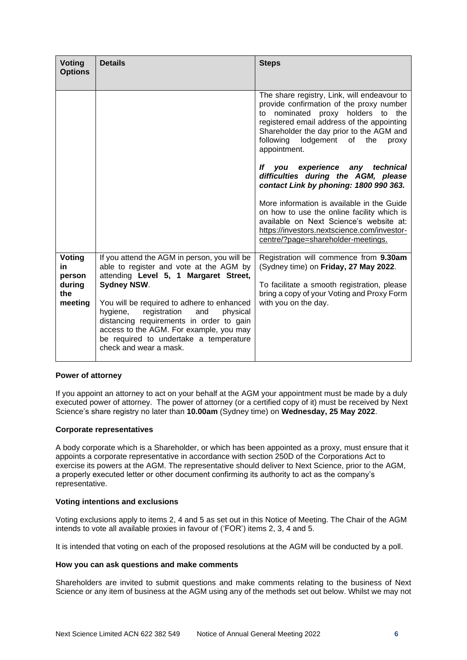| <b>Voting</b><br><b>Options</b>    | <b>Details</b>                                                                                                                                                                                                                                       | <b>Steps</b>                                                                                                                                                                                                                                                                                 |
|------------------------------------|------------------------------------------------------------------------------------------------------------------------------------------------------------------------------------------------------------------------------------------------------|----------------------------------------------------------------------------------------------------------------------------------------------------------------------------------------------------------------------------------------------------------------------------------------------|
|                                    |                                                                                                                                                                                                                                                      | The share registry, Link, will endeavour to<br>provide confirmation of the proxy number<br>nominated<br>proxy holders to the<br>to<br>registered email address of the appointing<br>Shareholder the day prior to the AGM and<br>lodgement<br>following<br>of<br>the<br>proxy<br>appointment. |
|                                    |                                                                                                                                                                                                                                                      | experience<br>lf<br>any<br>technical<br>vou<br>difficulties during the AGM, please<br>contact Link by phoning: 1800 990 363.                                                                                                                                                                 |
|                                    |                                                                                                                                                                                                                                                      | More information is available in the Guide<br>on how to use the online facility which is<br>available on Next Science's website at:<br>https://investors.nextscience.com/investor-<br>centre/?page=shareholder-meetings.                                                                     |
| Voting<br>in                       | If you attend the AGM in person, you will be<br>able to register and vote at the AGM by<br>attending Level 5, 1 Margaret Street,                                                                                                                     | Registration will commence from 9.30am<br>(Sydney time) on Friday, 27 May 2022.                                                                                                                                                                                                              |
| person<br>during<br>the<br>meeting | <b>Sydney NSW.</b>                                                                                                                                                                                                                                   | To facilitate a smooth registration, please<br>bring a copy of your Voting and Proxy Form                                                                                                                                                                                                    |
|                                    | You will be required to adhere to enhanced<br>hygiene,<br>registration<br>physical<br>and<br>distancing requirements in order to gain<br>access to the AGM. For example, you may<br>be required to undertake a temperature<br>check and wear a mask. | with you on the day.                                                                                                                                                                                                                                                                         |

# **Power of attorney**

If you appoint an attorney to act on your behalf at the AGM your appointment must be made by a duly executed power of attorney. The power of attorney (or a certified copy of it) must be received by Next Science's share registry no later than **10.00am** (Sydney time) on **Wednesday, 25 May 2022**.

# **Corporate representatives**

A body corporate which is a Shareholder, or which has been appointed as a proxy, must ensure that it appoints a corporate representative in accordance with section 250D of the Corporations Act to exercise its powers at the AGM. The representative should deliver to Next Science, prior to the AGM, a properly executed letter or other document confirming its authority to act as the company's representative.

# **Voting intentions and exclusions**

Voting exclusions apply to items 2, 4 and 5 as set out in this Notice of Meeting. The Chair of the AGM intends to vote all available proxies in favour of ('FOR') items 2, 3, 4 and 5.

It is intended that voting on each of the proposed resolutions at the AGM will be conducted by a poll.

# **How you can ask questions and make comments**

Shareholders are invited to submit questions and make comments relating to the business of Next Science or any item of business at the AGM using any of the methods set out below. Whilst we may not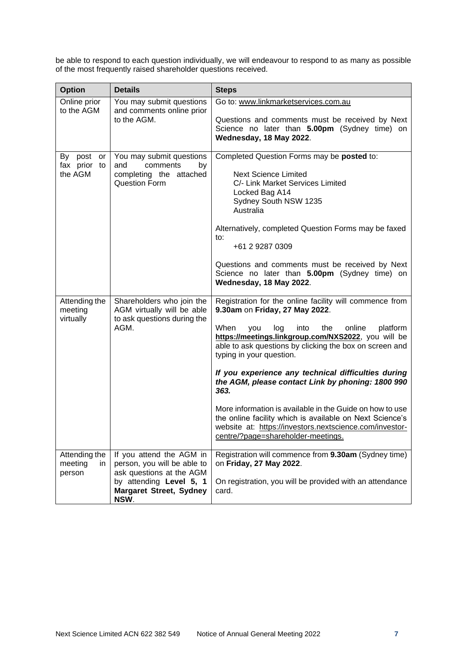be able to respond to each question individually, we will endeavour to respond to as many as possible of the most frequently raised shareholder questions received.

| <b>Option</b>                             | <b>Details</b>                                                                                                                                           | <b>Steps</b>                                                                                                                                                                                                                                                                                                                                                                                                                                                                                                                                                                                                                                    |
|-------------------------------------------|----------------------------------------------------------------------------------------------------------------------------------------------------------|-------------------------------------------------------------------------------------------------------------------------------------------------------------------------------------------------------------------------------------------------------------------------------------------------------------------------------------------------------------------------------------------------------------------------------------------------------------------------------------------------------------------------------------------------------------------------------------------------------------------------------------------------|
| Online prior<br>to the AGM                | You may submit questions<br>and comments online prior<br>to the AGM.                                                                                     | Go to: www.linkmarketservices.com.au<br>Questions and comments must be received by Next<br>Science no later than 5.00pm (Sydney time) on<br>Wednesday, 18 May 2022.                                                                                                                                                                                                                                                                                                                                                                                                                                                                             |
| By post<br>or<br>fax prior to<br>the AGM  | You may submit questions<br>and<br>comments<br>by<br>completing the attached<br>Question Form                                                            | Completed Question Forms may be posted to:<br><b>Next Science Limited</b><br>C/- Link Market Services Limited<br>Locked Bag A14<br>Sydney South NSW 1235<br>Australia<br>Alternatively, completed Question Forms may be faxed<br>to:<br>+61 2 9287 0309<br>Questions and comments must be received by Next<br>Science no later than 5.00pm (Sydney time) on<br>Wednesday, 18 May 2022.                                                                                                                                                                                                                                                          |
| Attending the<br>meeting<br>virtually     | Shareholders who join the<br>AGM virtually will be able<br>to ask questions during the<br>AGM.                                                           | Registration for the online facility will commence from<br>9.30am on Friday, 27 May 2022.<br>When<br>online<br>platform<br>you<br>log<br>into<br>the<br>https://meetings.linkgroup.com/NXS2022, you will be<br>able to ask questions by clicking the box on screen and<br>typing in your question.<br>If you experience any technical difficulties during<br>the AGM, please contact Link by phoning: 1800 990<br>363.<br>More information is available in the Guide on how to use<br>the online facility which is available on Next Science's<br>website at: https://investors.nextscience.com/investor-<br>centre/?page=shareholder-meetings. |
| Attending the<br>meeting<br>in.<br>person | If you attend the AGM in<br>person, you will be able to<br>ask questions at the AGM<br>by attending Level 5, 1<br><b>Margaret Street, Sydney</b><br>NSW. | Registration will commence from 9.30am (Sydney time)<br>on Friday, 27 May 2022.<br>On registration, you will be provided with an attendance<br>card.                                                                                                                                                                                                                                                                                                                                                                                                                                                                                            |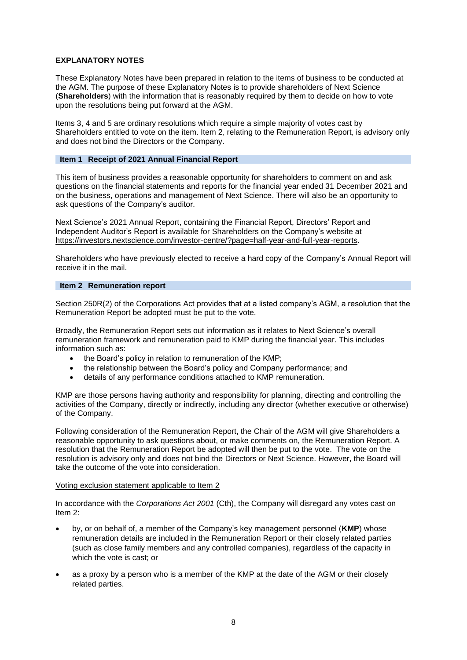# **EXPLANATORY NOTES**

These Explanatory Notes have been prepared in relation to the items of business to be conducted at the AGM. The purpose of these Explanatory Notes is to provide shareholders of Next Science (**Shareholders**) with the information that is reasonably required by them to decide on how to vote upon the resolutions being put forward at the AGM.

Items 3, 4 and 5 are ordinary resolutions which require a simple majority of votes cast by Shareholders entitled to vote on the item. Item 2, relating to the Remuneration Report, is advisory only and does not bind the Directors or the Company.

# **Item 1 Receipt of 2021 Annual Financial Report**

This item of business provides a reasonable opportunity for shareholders to comment on and ask questions on the financial statements and reports for the financial year ended 31 December 2021 and on the business, operations and management of Next Science. There will also be an opportunity to ask questions of the Company's auditor.

Next Science's 2021 Annual Report, containing the Financial Report, Directors' Report and Independent Auditor's Report is available for Shareholders on the Company's website at [https://investors.nextscience.com/investor-centre/?page=half-year-and-full-year-reports.](https://investors.nextscience.com/investor-centre/?page=half-year-and-full-year-reports)

Shareholders who have previously elected to receive a hard copy of the Company's Annual Report will receive it in the mail.

# **Item 2 Remuneration report**

Section 250R(2) of the Corporations Act provides that at a listed company's AGM, a resolution that the Remuneration Report be adopted must be put to the vote.

Broadly, the Remuneration Report sets out information as it relates to Next Science's overall remuneration framework and remuneration paid to KMP during the financial year. This includes information such as:

- the Board's policy in relation to remuneration of the KMP;
- the relationship between the Board's policy and Company performance; and
- details of any performance conditions attached to KMP remuneration.

KMP are those persons having authority and responsibility for planning, directing and controlling the activities of the Company, directly or indirectly, including any director (whether executive or otherwise) of the Company.

Following consideration of the Remuneration Report, the Chair of the AGM will give Shareholders a reasonable opportunity to ask questions about, or make comments on, the Remuneration Report. A resolution that the Remuneration Report be adopted will then be put to the vote. The vote on the resolution is advisory only and does not bind the Directors or Next Science. However, the Board will take the outcome of the vote into consideration.

# Voting exclusion statement applicable to Item 2

In accordance with the *Corporations Act 2001* (Cth), the Company will disregard any votes cast on Item 2:

- by, or on behalf of, a member of the Company's key management personnel (**KMP**) whose remuneration details are included in the Remuneration Report or their closely related parties (such as close family members and any controlled companies), regardless of the capacity in which the vote is cast; or
- as a proxy by a person who is a member of the KMP at the date of the AGM or their closely related parties.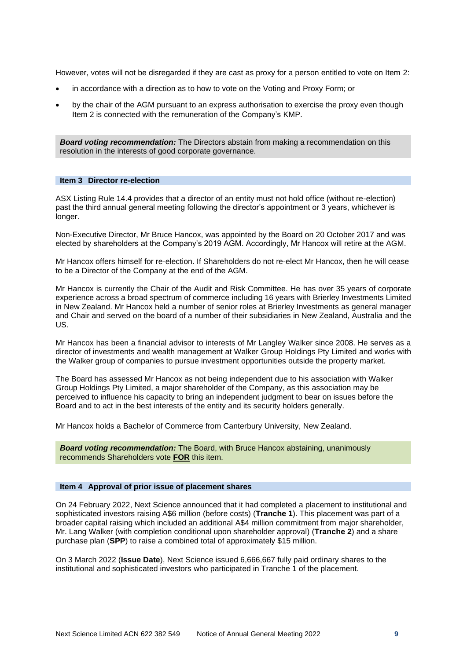However, votes will not be disregarded if they are cast as proxy for a person entitled to vote on Item 2:

- in accordance with a direction as to how to vote on the Voting and Proxy Form; or
- by the chair of the AGM pursuant to an express authorisation to exercise the proxy even though Item 2 is connected with the remuneration of the Company's KMP.

*Board voting recommendation:* The Directors abstain from making a recommendation on this resolution in the interests of good corporate governance.

#### **Item 3 Director re-election**

ASX Listing Rule 14.4 provides that a director of an entity must not hold office (without re-election) past the third annual general meeting following the director's appointment or 3 years, whichever is longer.

Non-Executive Director, Mr Bruce Hancox, was appointed by the Board on 20 October 2017 and was elected by shareholders at the Company's 2019 AGM. Accordingly, Mr Hancox will retire at the AGM.

Mr Hancox offers himself for re-election. If Shareholders do not re-elect Mr Hancox, then he will cease to be a Director of the Company at the end of the AGM.

Mr Hancox is currently the Chair of the Audit and Risk Committee. He has over 35 years of corporate experience across a broad spectrum of commerce including 16 years with Brierley Investments Limited in New Zealand. Mr Hancox held a number of senior roles at Brierley Investments as general manager and Chair and served on the board of a number of their subsidiaries in New Zealand, Australia and the US.

Mr Hancox has been a financial advisor to interests of Mr Langley Walker since 2008. He serves as a director of investments and wealth management at Walker Group Holdings Pty Limited and works with the Walker group of companies to pursue investment opportunities outside the property market.

The Board has assessed Mr Hancox as not being independent due to his association with Walker Group Holdings Pty Limited, a major shareholder of the Company, as this association may be perceived to influence his capacity to bring an independent judgment to bear on issues before the Board and to act in the best interests of the entity and its security holders generally.

Mr Hancox holds a Bachelor of Commerce from Canterbury University, New Zealand.

*Board voting recommendation:* The Board, with Bruce Hancox abstaining, unanimously recommends Shareholders vote **FOR** this item.

#### **Item 4 Approval of prior issue of placement shares**

On 24 February 2022, Next Science announced that it had completed a placement to institutional and sophisticated investors raising A\$6 million (before costs) (**Tranche 1**). This placement was part of a broader capital raising which included an additional A\$4 million commitment from major shareholder, Mr. Lang Walker (with completion conditional upon shareholder approval) (**Tranche 2**) and a share purchase plan (**SPP**) to raise a combined total of approximately \$15 million.

On 3 March 2022 (**Issue Date**), Next Science issued 6,666,667 fully paid ordinary shares to the institutional and sophisticated investors who participated in Tranche 1 of the placement.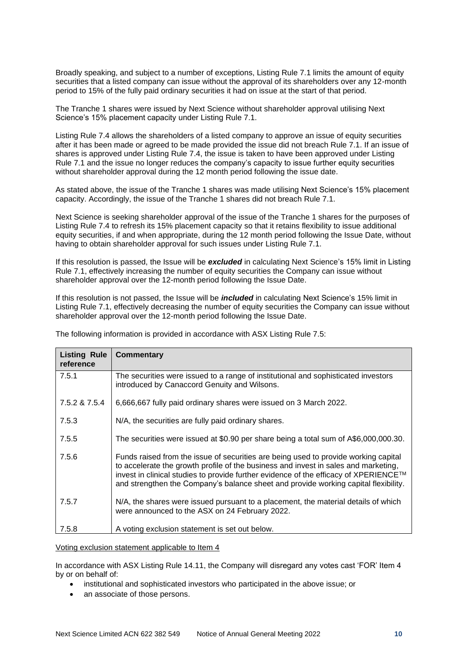Broadly speaking, and subject to a number of exceptions, Listing Rule 7.1 limits the amount of equity securities that a listed company can issue without the approval of its shareholders over any 12-month period to 15% of the fully paid ordinary securities it had on issue at the start of that period.

The Tranche 1 shares were issued by Next Science without shareholder approval utilising Next Science's 15% placement capacity under Listing Rule 7.1.

Listing Rule 7.4 allows the shareholders of a listed company to approve an issue of equity securities after it has been made or agreed to be made provided the issue did not breach Rule 7.1. If an issue of shares is approved under Listing Rule 7.4, the issue is taken to have been approved under Listing Rule 7.1 and the issue no longer reduces the company's capacity to issue further equity securities without shareholder approval during the 12 month period following the issue date.

As stated above, the issue of the Tranche 1 shares was made utilising Next Science's 15% placement capacity. Accordingly, the issue of the Tranche 1 shares did not breach Rule 7.1.

Next Science is seeking shareholder approval of the issue of the Tranche 1 shares for the purposes of Listing Rule 7.4 to refresh its 15% placement capacity so that it retains flexibility to issue additional equity securities, if and when appropriate, during the 12 month period following the Issue Date, without having to obtain shareholder approval for such issues under Listing Rule 7.1.

If this resolution is passed, the Issue will be *excluded* in calculating Next Science's 15% limit in Listing Rule 7.1, effectively increasing the number of equity securities the Company can issue without shareholder approval over the 12-month period following the Issue Date.

If this resolution is not passed, the Issue will be *included* in calculating Next Science's 15% limit in Listing Rule 7.1, effectively decreasing the number of equity securities the Company can issue without shareholder approval over the 12-month period following the Issue Date.

| <b>Listing Rule</b><br>reference | Commentary                                                                                                                                                                                                                                                                                                                                                |
|----------------------------------|-----------------------------------------------------------------------------------------------------------------------------------------------------------------------------------------------------------------------------------------------------------------------------------------------------------------------------------------------------------|
| 7.5.1                            | The securities were issued to a range of institutional and sophisticated investors<br>introduced by Canaccord Genuity and Wilsons.                                                                                                                                                                                                                        |
| 7.5.2 & 7.5.4                    | 6,666,667 fully paid ordinary shares were issued on 3 March 2022.                                                                                                                                                                                                                                                                                         |
| 7.5.3                            | N/A, the securities are fully paid ordinary shares.                                                                                                                                                                                                                                                                                                       |
| 7.5.5                            | The securities were issued at \$0.90 per share being a total sum of A\$6,000,000.30.                                                                                                                                                                                                                                                                      |
| 7.5.6                            | Funds raised from the issue of securities are being used to provide working capital<br>to accelerate the growth profile of the business and invest in sales and marketing,<br>invest in clinical studies to provide further evidence of the efficacy of XPERIENCE™<br>and strengthen the Company's balance sheet and provide working capital flexibility. |
| 7.5.7                            | N/A, the shares were issued pursuant to a placement, the material details of which<br>were announced to the ASX on 24 February 2022.                                                                                                                                                                                                                      |
| 7.5.8                            | A voting exclusion statement is set out below.                                                                                                                                                                                                                                                                                                            |

The following information is provided in accordance with ASX Listing Rule 7.5:

Voting exclusion statement applicable to Item 4

In accordance with ASX Listing Rule 14.11, the Company will disregard any votes cast 'FOR' Item 4 by or on behalf of:

- institutional and sophisticated investors who participated in the above issue; or
- an associate of those persons.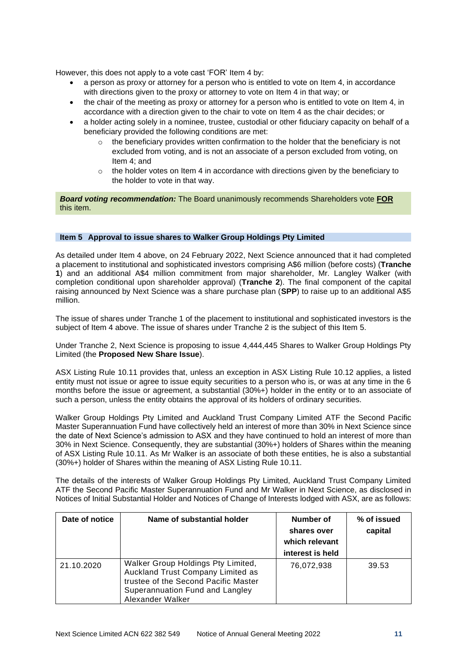However, this does not apply to a vote cast 'FOR' Item 4 by:

- a person as proxy or attorney for a person who is entitled to vote on Item 4, in accordance with directions given to the proxy or attorney to vote on Item 4 in that way; or
- the chair of the meeting as proxy or attorney for a person who is entitled to vote on Item 4, in accordance with a direction given to the chair to vote on Item 4 as the chair decides; or
- a holder acting solely in a nominee, trustee, custodial or other fiduciary capacity on behalf of a beneficiary provided the following conditions are met:
	- $\circ$  the beneficiary provides written confirmation to the holder that the beneficiary is not excluded from voting, and is not an associate of a person excluded from voting, on Item 4; and
	- $\circ$  the holder votes on Item 4 in accordance with directions given by the beneficiary to the holder to vote in that way.

*Board voting recommendation:* The Board unanimously recommends Shareholders vote **FOR** this item.

# **Item 5 Approval to issue shares to Walker Group Holdings Pty Limited**

As detailed under Item 4 above, on 24 February 2022, Next Science announced that it had completed a placement to institutional and sophisticated investors comprising A\$6 million (before costs) (**Tranche 1**) and an additional A\$4 million commitment from major shareholder, Mr. Langley Walker (with completion conditional upon shareholder approval) (**Tranche 2**). The final component of the capital raising announced by Next Science was a share purchase plan (**SPP**) to raise up to an additional A\$5 million.

The issue of shares under Tranche 1 of the placement to institutional and sophisticated investors is the subject of Item 4 above. The issue of shares under Tranche 2 is the subject of this Item 5.

Under Tranche 2, Next Science is proposing to issue 4,444,445 Shares to Walker Group Holdings Pty Limited (the **Proposed New Share Issue**).

ASX Listing Rule 10.11 provides that, unless an exception in ASX Listing Rule 10.12 applies, a listed entity must not issue or agree to issue equity securities to a person who is, or was at any time in the 6 months before the issue or agreement, a substantial (30%+) holder in the entity or to an associate of such a person, unless the entity obtains the approval of its holders of ordinary securities.

Walker Group Holdings Pty Limited and Auckland Trust Company Limited ATF the Second Pacific Master Superannuation Fund have collectively held an interest of more than 30% in Next Science since the date of Next Science's admission to ASX and they have continued to hold an interest of more than 30% in Next Science. Consequently, they are substantial (30%+) holders of Shares within the meaning of ASX Listing Rule 10.11. As Mr Walker is an associate of both these entities, he is also a substantial (30%+) holder of Shares within the meaning of ASX Listing Rule 10.11.

The details of the interests of Walker Group Holdings Pty Limited, Auckland Trust Company Limited ATF the Second Pacific Master Superannuation Fund and Mr Walker in Next Science, as disclosed in Notices of Initial Substantial Holder and Notices of Change of Interests lodged with ASX, are as follows:

| Date of notice | Name of substantial holder                                                                                                                                             | Number of<br>shares over<br>which relevant<br>interest is held | % of issued<br>capital |
|----------------|------------------------------------------------------------------------------------------------------------------------------------------------------------------------|----------------------------------------------------------------|------------------------|
| 21.10.2020     | Walker Group Holdings Pty Limited,<br>Auckland Trust Company Limited as<br>trustee of the Second Pacific Master<br>Superannuation Fund and Langley<br>Alexander Walker | 76,072,938                                                     | 39.53                  |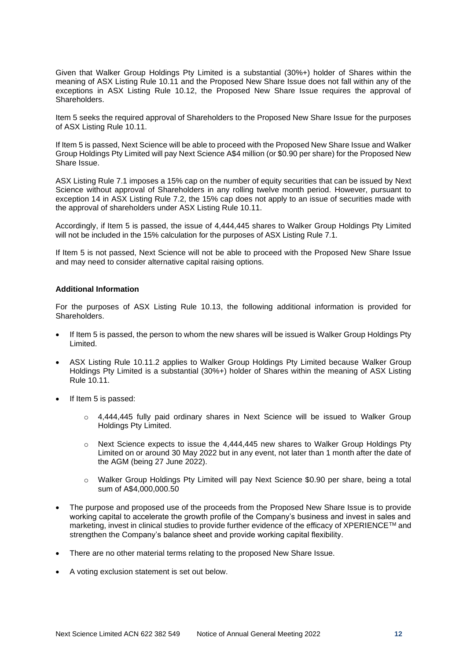Given that Walker Group Holdings Pty Limited is a substantial (30%+) holder of Shares within the meaning of ASX Listing Rule 10.11 and the Proposed New Share Issue does not fall within any of the exceptions in ASX Listing Rule 10.12, the Proposed New Share Issue requires the approval of Shareholders.

Item 5 seeks the required approval of Shareholders to the Proposed New Share Issue for the purposes of ASX Listing Rule 10.11.

If Item 5 is passed, Next Science will be able to proceed with the Proposed New Share Issue and Walker Group Holdings Pty Limited will pay Next Science A\$4 million (or \$0.90 per share) for the Proposed New Share Issue.

ASX Listing Rule 7.1 imposes a 15% cap on the number of equity securities that can be issued by Next Science without approval of Shareholders in any rolling twelve month period. However, pursuant to exception 14 in ASX Listing Rule 7.2, the 15% cap does not apply to an issue of securities made with the approval of shareholders under ASX Listing Rule 10.11.

Accordingly, if Item 5 is passed, the issue of 4,444,445 shares to Walker Group Holdings Pty Limited will not be included in the 15% calculation for the purposes of ASX Listing Rule 7.1.

If Item 5 is not passed, Next Science will not be able to proceed with the Proposed New Share Issue and may need to consider alternative capital raising options.

# **Additional Information**

For the purposes of ASX Listing Rule 10.13, the following additional information is provided for Shareholders.

- If Item 5 is passed, the person to whom the new shares will be issued is Walker Group Holdings Pty Limited.
- ASX Listing Rule 10.11.2 applies to Walker Group Holdings Pty Limited because Walker Group Holdings Pty Limited is a substantial (30%+) holder of Shares within the meaning of ASX Listing Rule 10.11.
- If Item 5 is passed:
	- $\circ$  4,444,445 fully paid ordinary shares in Next Science will be issued to Walker Group Holdings Pty Limited.
	- $\circ$  Next Science expects to issue the 4,444,445 new shares to Walker Group Holdings Pty Limited on or around 30 May 2022 but in any event, not later than 1 month after the date of the AGM (being 27 June 2022).
	- o Walker Group Holdings Pty Limited will pay Next Science \$0.90 per share, being a total sum of A\$4,000,000.50
- The purpose and proposed use of the proceeds from the Proposed New Share Issue is to provide working capital to accelerate the growth profile of the Company's business and invest in sales and marketing, invest in clinical studies to provide further evidence of the efficacy of XPERIENCETM and strengthen the Company's balance sheet and provide working capital flexibility.
- There are no other material terms relating to the proposed New Share Issue.
- A voting exclusion statement is set out below.